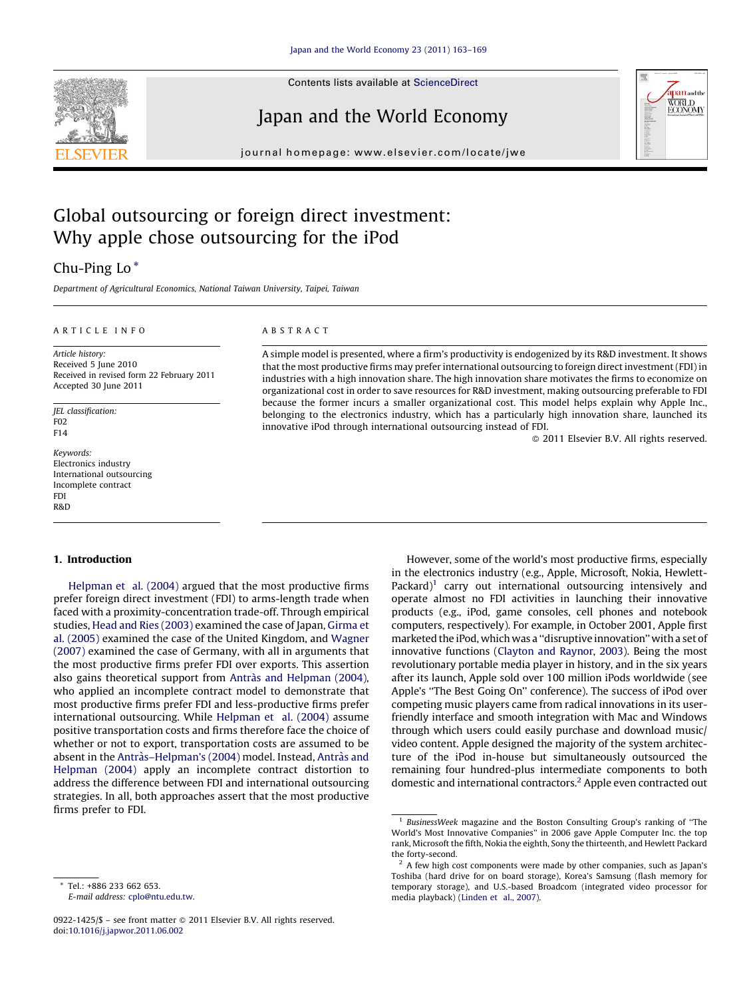

Contents lists available at [ScienceDirect](http://www.sciencedirect.com/science/journal/09221425)

## Japan and the World Economy



journal homepage: www.elsevier.com/locate/jwe

# Global outsourcing or foreign direct investment: Why apple chose outsourcing for the iPod

## Chu-Ping Lo \*

Department of Agricultural Economics, National Taiwan University, Taipei, Taiwan

#### A R T I C L E I N F O

Article history: Received 5 June 2010 Received in revised form 22 February 2011 Accepted 30 June 2011

JEL classification: F02 F14

Keywords: Electronics industry International outsourcing Incomplete contract FDI R&D

#### 1. Introduction

[Helpman](#page--1-0) et al. (2004) argued that the most productive firms prefer foreign direct investment (FDI) to arms-length trade when faced with a proximity-concentration trade-off. Through empirical studies, Head and Ries [\(2003\)](#page--1-0) examined the case of Japan, [Girma](#page--1-0) et al. [\(2005\)](#page--1-0) examined the case of the United Kingdom, and [Wagner](#page--1-0) [\(2007\)](#page--1-0) examined the case of Germany, with all in arguments that the most productive firms prefer FDI over exports. This assertion also gains theoretical support from Antràs and [Helpman](#page--1-0) (2004), who applied an incomplete contract model to demonstrate that most productive firms prefer FDI and less-productive firms prefer international outsourcing. While [Helpman](#page--1-0) et al. (2004) assume positive transportation costs and firms therefore face the choice of whether or not to export, transportation costs are assumed to be absent in the Antràs-Helpman's (2004) model. Instead, Antràs and [Helpman](#page--1-0) (2004) apply an incomplete contract distortion to address the difference between FDI and international outsourcing strategies. In all, both approaches assert that the most productive firms prefer to FDI.

### A B S T R A C T

A simple model is presented, where a firm's productivity is endogenized by its R&D investment. It shows that the most productive firms may prefer international outsourcing to foreign direct investment (FDI) in industries with a high innovation share. The high innovation share motivates the firms to economize on organizational cost in order to save resources for R&D investment, making outsourcing preferable to FDI because the former incurs a smaller organizational cost. This model helps explain why Apple Inc., belonging to the electronics industry, which has a particularly high innovation share, launched its innovative iPod through international outsourcing instead of FDI.

- 2011 Elsevier B.V. All rights reserved.

However, some of the world's most productive firms, especially in the electronics industry (e.g., Apple, Microsoft, Nokia, Hewlett-Packard) $1$  carry out international outsourcing intensively and operate almost no FDI activities in launching their innovative products (e.g., iPod, game consoles, cell phones and notebook computers, respectively). For example, in October 2001, Apple first marketed the iPod, which was a ''disruptive innovation'' with a set of innovative functions ([Clayton](#page--1-0) and Raynor, 2003). Being the most revolutionary portable media player in history, and in the six years after its launch, Apple sold over 100 million iPods worldwide (see Apple's ''The Best Going On'' conference). The success of iPod over competing music players came from radical innovations in its userfriendly interface and smooth integration with Mac and Windows through which users could easily purchase and download music/ video content. Apple designed the majority of the system architecture of the iPod in-house but simultaneously outsourced the remaining four hundred-plus intermediate components to both domestic and international contractors.2 Apple even contracted out

Tel.: +886 233 662 653. E-mail address: [cplo@ntu.edu.tw](mailto:cplo@ntu.edu.tw).

<sup>0922-1425/\$ –</sup> see front matter © 2011 Elsevier B.V. All rights reserved. doi:[10.1016/j.japwor.2011.06.002](http://dx.doi.org/10.1016/j.japwor.2011.06.002)

<sup>1</sup> BusinessWeek magazine and the Boston Consulting Group's ranking of ''The World's Most Innovative Companies'' in 2006 gave Apple Computer Inc. the top rank, Microsoft the fifth, Nokia the eighth, Sony the thirteenth, and Hewlett Packard the forty-second.

 $2$  A few high cost components were made by other companies, such as Japan's Toshiba (hard drive for on board storage), Korea's Samsung (flash memory for temporary storage), and U.S.-based Broadcom (integrated video processor for media playback) [\(Linden](#page--1-0) et al., 2007).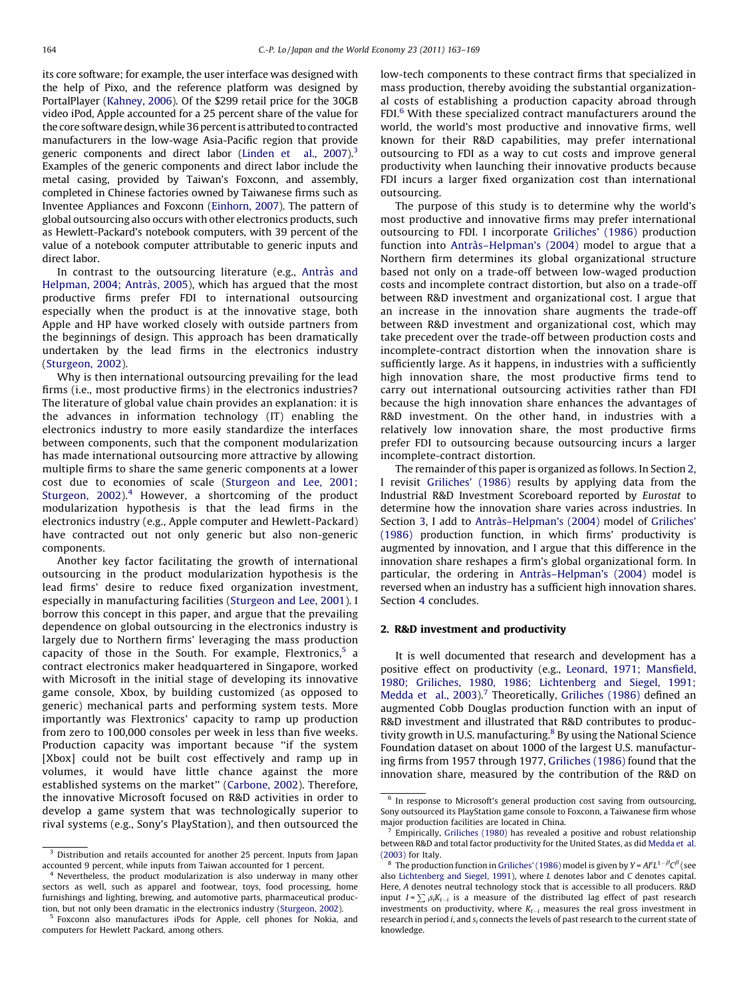its core software; for example, the user interface was designed with the help of Pixo, and the reference platform was designed by PortalPlayer [\(Kahney,](#page--1-0) 2006). Of the \$299 retail price for the 30GB video iPod, Apple accounted for a 25 percent share of the value for the core software design, while 36 percent is attributed to contracted manufacturers in the low-wage Asia-Pacific region that provide generic components and direct labor ([Linden](#page--1-0) et al., 2007).<sup>3</sup> Examples of the generic components and direct labor include the metal casing, provided by Taiwan's Foxconn, and assembly, completed in Chinese factories owned by Taiwanese firms such as Inventee Appliances and Foxconn [\(Einhorn,](#page--1-0) 2007). The pattern of global outsourcing also occurs with other electronics products, such as Hewlett-Packard's notebook computers, with 39 percent of the value of a notebook computer attributable to generic inputs and direct labor.

In contrast to the outsourcing literature (e.g., Antràs and [Helpman,](#page--1-0) 2004; Antràs, 2005), which has argued that the most productive firms prefer FDI to international outsourcing especially when the product is at the innovative stage, both Apple and HP have worked closely with outside partners from the beginnings of design. This approach has been dramatically undertaken by the lead firms in the electronics industry ([Sturgeon,](#page--1-0) 2002).

Why is then international outsourcing prevailing for the lead firms (i.e., most productive firms) in the electronics industries? The literature of global value chain provides an explanation: it is the advances in information technology (IT) enabling the electronics industry to more easily standardize the interfaces between components, such that the component modularization has made international outsourcing more attractive by allowing multiple firms to share the same generic components at a lower cost due to economies of scale ([Sturgeon](#page--1-0) and Lee, 2001; [Sturgeon,](#page--1-0) 2002). $4$  However, a shortcoming of the product modularization hypothesis is that the lead firms in the electronics industry (e.g., Apple computer and Hewlett-Packard) have contracted out not only generic but also non-generic components.

Another key factor facilitating the growth of international outsourcing in the product modularization hypothesis is the lead firms' desire to reduce fixed organization investment, especially in manufacturing facilities [\(Sturgeon](#page--1-0) and Lee, 2001). I borrow this concept in this paper, and argue that the prevailing dependence on global outsourcing in the electronics industry is largely due to Northern firms' leveraging the mass production capacity of those in the South. For example, Flextronics, $5$  a contract electronics maker headquartered in Singapore, worked with Microsoft in the initial stage of developing its innovative game console, Xbox, by building customized (as opposed to generic) mechanical parts and performing system tests. More importantly was Flextronics' capacity to ramp up production from zero to 100,000 consoles per week in less than five weeks. Production capacity was important because "if the system [Xbox] could not be built cost effectively and ramp up in volumes, it would have little chance against the more established systems on the market'' ([Carbone,](#page--1-0) 2002). Therefore, the innovative Microsoft focused on R&D activities in order to develop a game system that was technologically superior to rival systems (e.g., Sony's PlayStation), and then outsourced the

<sup>4</sup> Nevertheless, the product modularization is also underway in many other sectors as well, such as apparel and footwear, toys, food processing, home furnishings and lighting, brewing, and automotive parts, pharmaceutical production, but not only been dramatic in the electronics industry ([Sturgeon,](#page--1-0) 2002).

low-tech components to these contract firms that specialized in mass production, thereby avoiding the substantial organizational costs of establishing a production capacity abroad through FDI.<sup>6</sup> With these specialized contract manufacturers around the world, the world's most productive and innovative firms, well known for their R&D capabilities, may prefer international outsourcing to FDI as a way to cut costs and improve general productivity when launching their innovative products because FDI incurs a larger fixed organization cost than international outsourcing.

The purpose of this study is to determine why the world's most productive and innovative firms may prefer international outsourcing to FDI. I incorporate [Griliches'](#page--1-0) (1986) production function into Antràs-Helpman's (2004) model to argue that a Northern firm determines its global organizational structure based not only on a trade-off between low-waged production costs and incomplete contract distortion, but also on a trade-off between R&D investment and organizational cost. I argue that an increase in the innovation share augments the trade-off between R&D investment and organizational cost, which may take precedent over the trade-off between production costs and incomplete-contract distortion when the innovation share is sufficiently large. As it happens, in industries with a sufficiently high innovation share, the most productive firms tend to carry out international outsourcing activities rather than FDI because the high innovation share enhances the advantages of R&D investment. On the other hand, in industries with a relatively low innovation share, the most productive firms prefer FDI to outsourcing because outsourcing incurs a larger incomplete-contract distortion.

The remainder of this paper is organized as follows. In Section 2, I revisit [Griliches'](#page--1-0) (1986) results by applying data from the Industrial R&D Investment Scoreboard reported by Eurostat to determine how the innovation share varies across industries. In Section [3,](#page--1-0) I add to Antràs-Helpman's (2004) model of [Griliches'](#page--1-0) [\(1986\)](#page--1-0) production function, in which firms' productivity is augmented by innovation, and I argue that this difference in the innovation share reshapes a firm's global organizational form. In particular, the ordering in Antràs-Helpman's (2004) model is reversed when an industry has a sufficient high innovation shares. Section [4](#page--1-0) concludes.

#### 2. R&D investment and productivity

It is well documented that research and development has a positive effect on productivity (e.g., Leonard, 1971; [Mansfield,](#page--1-0) 1980; Griliches, 1980, 1986; [Lichtenberg](#page--1-0) and Siegel, 1991; [Medda](#page--1-0) et al., 2003).<sup>7</sup> Theoretically, [Griliches](#page--1-0) (1986) defined an augmented Cobb Douglas production function with an input of R&D investment and illustrated that R&D contributes to productivity growth in U.S. manufacturing.<sup>8</sup> By using the National Science Foundation dataset on about 1000 of the largest U.S. manufacturing firms from 1957 through 1977, [Griliches](#page--1-0) (1986) found that the innovation share, measured by the contribution of the R&D on

<sup>&</sup>lt;sup>3</sup> Distribution and retails accounted for another 25 percent. Inputs from Japan accounted 9 percent, while inputs from Taiwan accounted for 1 percent.

<sup>5</sup> Foxconn also manufactures iPods for Apple, cell phones for Nokia, and computers for Hewlett Packard, among others.

<sup>6</sup> In response to Microsoft's general production cost saving from outsourcing, Sony outsourced its PlayStation game console to Foxconn, a Taiwanese firm whose major production facilities are located in China.

 $7^{7}$  Empirically, [Griliches](#page--1-0) (1980) has revealed a positive and robust relationship between R&D and total factor productivity for the United States, as did [Medda](#page--1-0) et al. [\(2003\)](#page--1-0) for Italy.

<sup>&</sup>lt;sup>8</sup> The production function in [Griliches'](#page--1-0) (1986) model is given by  $Y = A^T L^{1-\beta} C^{\beta}$  (see also [Lichtenberg](#page--1-0) and Siegel, 1991), where L denotes labor and C denotes capital. Here, A denotes neutral technology stock that is accessible to all producers. R&D input  $I = \sum_i s_i K_{t-i}$  is a measure of the distributed lag effect of past research investments on productivity, where  $K_{t-i}$  measures the real gross investment in research in period  $i$ , and  $s_i$  connects the levels of past research to the current state of knowledge.